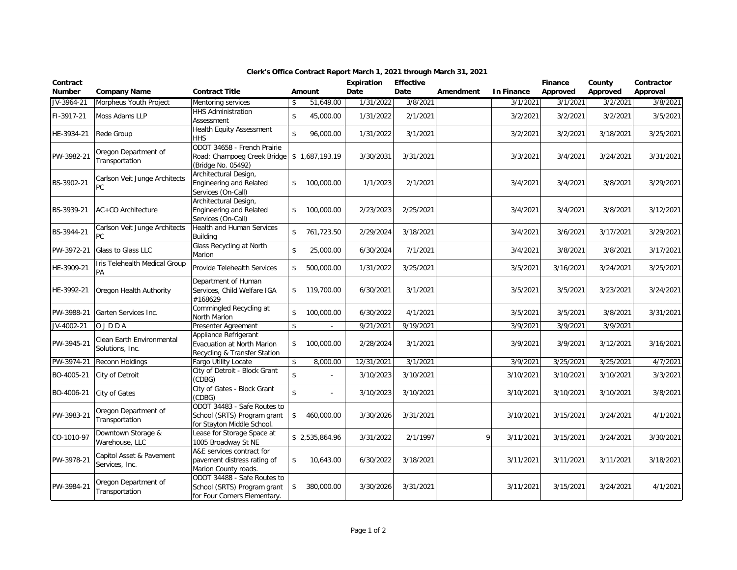| Contract<br><b>Number</b> | <b>Company Name</b>                          | <b>Contract Title</b>                                                                      |               | <b>Amount</b>  | <b>Expiration</b><br>Date | <b>Effective</b><br>Date | Amendment | <b>In Finance</b> | Finance<br>Approved | County<br>Approved | Contractor<br>Approval |
|---------------------------|----------------------------------------------|--------------------------------------------------------------------------------------------|---------------|----------------|---------------------------|--------------------------|-----------|-------------------|---------------------|--------------------|------------------------|
| JV-3964-21                | Morpheus Youth Project                       | Mentoring services                                                                         | \$            | 51,649.00      | 1/31/2022                 | 3/8/2021                 |           | 3/1/2021          | 3/1/2021            | 3/2/2021           | 3/8/2021               |
| FI-3917-21                | Moss Adams LLP                               | <b>HHS Administration</b><br>Assessment                                                    | $\mathbb S$   | 45,000.00      | 1/31/2022                 | 2/1/2021                 |           | 3/2/2021          | 3/2/2021            | 3/2/2021           | 3/5/2021               |
| HE-3934-21                | Rede Group                                   | <b>Health Equity Assessment</b><br><b>HHS</b>                                              | \$            | 96,000.00      | 1/31/2022                 | 3/1/2021                 |           | 3/2/2021          | 3/2/2021            | 3/18/2021          | 3/25/2021              |
| PW-3982-21                | Oregon Department of<br>Transportation       | ODOT 34658 - French Prairie<br>Road: Champoeg Creek Bridge<br>(Bridge No. 05492)           |               | \$1,687,193.19 | 3/30/2031                 | 3/31/2021                |           | 3/3/2021          | 3/4/2021            | 3/24/2021          | 3/31/2021              |
| BS-3902-21                | Carlson Veit Junge Architects<br>PC          | Architectural Design,<br>Engineering and Related<br>Services (On-Call)                     | \$            | 100,000.00     | 1/1/2023                  | 2/1/2021                 |           | 3/4/2021          | 3/4/2021            | 3/8/2021           | 3/29/2021              |
| BS-3939-21                | AC+CO Architecture                           | Architectural Design,<br>Engineering and Related<br>Services (On-Call)                     | \$            | 100,000.00     | 2/23/2023                 | 2/25/2021                |           | 3/4/2021          | 3/4/2021            | 3/8/2021           | 3/12/2021              |
| BS-3944-21                | Carlson Veit Junge Architects<br><b>PC</b>   | Health and Human Services<br>Building                                                      | $\mathsf{\$}$ | 761,723.50     | 2/29/2024                 | 3/18/2021                |           | 3/4/2021          | 3/6/2021            | 3/17/2021          | 3/29/2021              |
| PW-3972-21                | Glass to Glass LLC                           | Glass Recycling at North<br>Marion                                                         | \$            | 25,000.00      | 6/30/2024                 | 7/1/2021                 |           | 3/4/2021          | 3/8/2021            | 3/8/2021           | 3/17/2021              |
| HE-3909-21                | Iris Telehealth Medical Group<br>PA          | Provide Telehealth Services                                                                | \$            | 500,000.00     | 1/31/2022                 | 3/25/2021                |           | 3/5/2021          | 3/16/2021           | 3/24/2021          | 3/25/2021              |
| HE-3992-21                | Oregon Health Authority                      | Department of Human<br>Services, Child Welfare IGA<br>#168629                              | $\mathsf{\$}$ | 119,700.00     | 6/30/2021                 | 3/1/2021                 |           | 3/5/2021          | 3/5/2021            | 3/23/2021          | 3/24/2021              |
| PW-3988-21                | Garten Services Inc.                         | Commingled Recycling at<br>North Marion                                                    | \$            | 100,000.00     | 6/30/2022                 | 4/1/2021                 |           | 3/5/2021          | 3/5/2021            | 3/8/2021           | 3/31/2021              |
| JV-4002-21                | OJDDA                                        | Presenter Agreement                                                                        | \$            | $\mathbf{r}$   | 9/21/2021                 | 9/19/2021                |           | 3/9/2021          | 3/9/2021            | 3/9/2021           |                        |
| PW-3945-21                | Clean Earth Environmental<br>Solutions, Inc. | Appliance Refrigerant<br>Evacuation at North Marion<br>Recycling & Transfer Station        | \$            | 100,000.00     | 2/28/2024                 | 3/1/2021                 |           | 3/9/2021          | 3/9/2021            | 3/12/2021          | 3/16/2021              |
| PW-3974-21                | Reconn Holdings                              | Fargo Utility Locate                                                                       | \$            | 8,000.00       | 12/31/2021                | 3/1/2021                 |           | 3/9/2021          | 3/25/2021           | 3/25/2021          | 4/7/2021               |
| BO-4005-21                | City of Detroit                              | City of Detroit - Block Grant<br>(CDBG)                                                    | \$            |                | 3/10/2023                 | 3/10/2021                |           | 3/10/2021         | 3/10/2021           | 3/10/2021          | 3/3/2021               |
| BO-4006-21                | <b>City of Gates</b>                         | City of Gates - Block Grant<br>(CDBG)                                                      | $\mathsf{\$}$ |                | 3/10/2023                 | 3/10/2021                |           | 3/10/2021         | 3/10/2021           | 3/10/2021          | 3/8/2021               |
| PW-3983-21                | Oregon Department of<br>Transportation       | ODOT 34483 - Safe Routes to<br>School (SRTS) Program grant<br>for Stayton Middle School.   | \$            | 460,000.00     | 3/30/2026                 | 3/31/2021                |           | 3/10/2021         | 3/15/2021           | 3/24/2021          | 4/1/2021               |
| CO-1010-97                | Downtown Storage &<br>Warehouse, LLC         | Lease for Storage Space at<br>1005 Broadway St NE                                          |               | \$2,535,864.96 | 3/31/2022                 | 2/1/1997                 | 9         | 3/11/2021         | 3/15/2021           | 3/24/2021          | 3/30/2021              |
| PW-3978-21                | Capitol Asset & Pavement<br>Services, Inc.   | A&E services contract for<br>pavement distress rating of<br>Marion County roads.           | \$            | 10,643.00      | 6/30/2022                 | 3/18/2021                |           | 3/11/2021         | 3/11/2021           | 3/11/2021          | 3/18/2021              |
| PW-3984-21                | Oregon Department of<br>Transportation       | ODOT 34488 - Safe Routes to<br>School (SRTS) Program grant<br>for Four Corners Elementary. | \$            | 380,000.00     | 3/30/2026                 | 3/31/2021                |           | 3/11/2021         | 3/15/2021           | 3/24/2021          | 4/1/2021               |

## **Clerk's Office Contract Report March 1, 2021 through March 31, 2021**